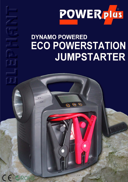

## **DYNAMO POWERED ECO POWERSTATION** JUMPSTARTER

 $\bigcirc$ 

 $\omega$ 

 $\overline{(\overline{e_1})}$